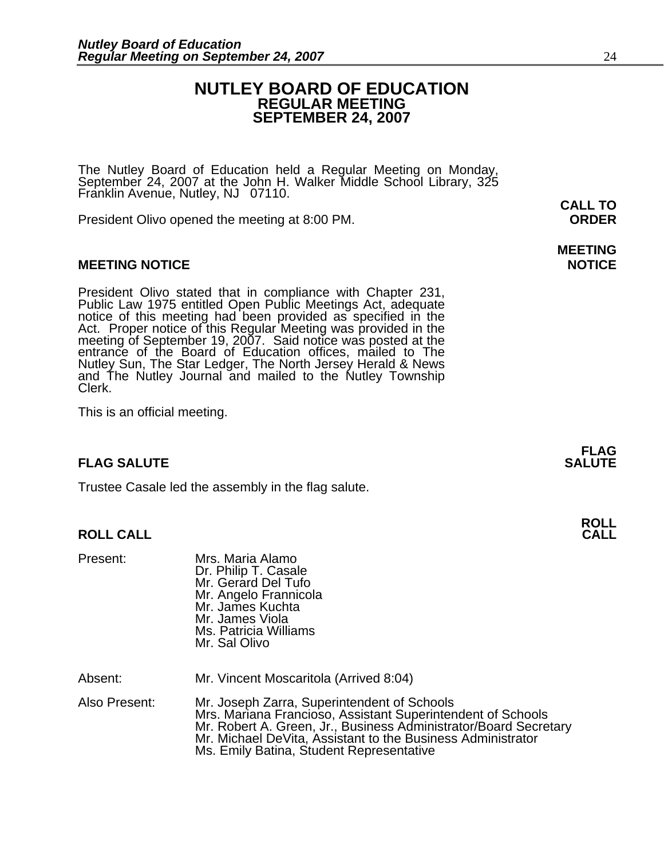## **NUTLEY BOARD OF EDUCATION REGULAR MEETING SEPTEMBER 24, 2007**

The Nutley Board of Education held a Regular Meeting on Monday, September 24, 2007 at the John H. Walker Middle School Library, 325 Franklin Avenue, Nutley, NJ 07110. **CALL TO** 

President Olivo opened the meeting at 8:00 PM. **ORDER**

## **MEETING NOTICE NOTICE REPORTS AND ALCOHOL**

President Olivo stated that in compliance with Chapter 231,<br>Public Law 1975 entitled Open Public Meetings Act, adequate<br>notice of this meeting had been provided as specified in the<br>Act. Proper notice of this Regular Meetin meeting of September 19, 2007. Said notice was posted at the<br>entrance of the Board of Education offices, mailed to The entrance of the Board of Education offices, mailed to The Nutley Sun, The Star Ledger, The North Jersey Herald & News and The Nutley Journal and mailed to the Nutley Township Clerk.

This is an official meeting.

## **FLAG SALUTE SALUTE SALUTE**

Trustee Casale led the assembly in the flag salute.

## **ROLL CALL**

| Present:      | Mrs. Maria Alamo<br>Dr. Philip T. Casale<br>Mr. Gerard Del Tufo<br>Mr. Angelo Frannicola<br>Mr. James Kuchta<br>Mr. James Viola<br>Ms. Patricia Williams<br>Mr. Sal Olivo                                                                                                                 |
|---------------|-------------------------------------------------------------------------------------------------------------------------------------------------------------------------------------------------------------------------------------------------------------------------------------------|
| Absent:       | Mr. Vincent Moscaritola (Arrived 8:04)                                                                                                                                                                                                                                                    |
| Also Present: | Mr. Joseph Zarra, Superintendent of Schools<br>Mrs. Mariana Francioso, Assistant Superintendent of Schools<br>Mr. Robert A. Green, Jr., Business Administrator/Board Secretary<br>Mr. Michael DeVita, Assistant to the Business Administrator<br>Ms. Emily Batina, Student Representative |

# **MEETING**

**FLAG**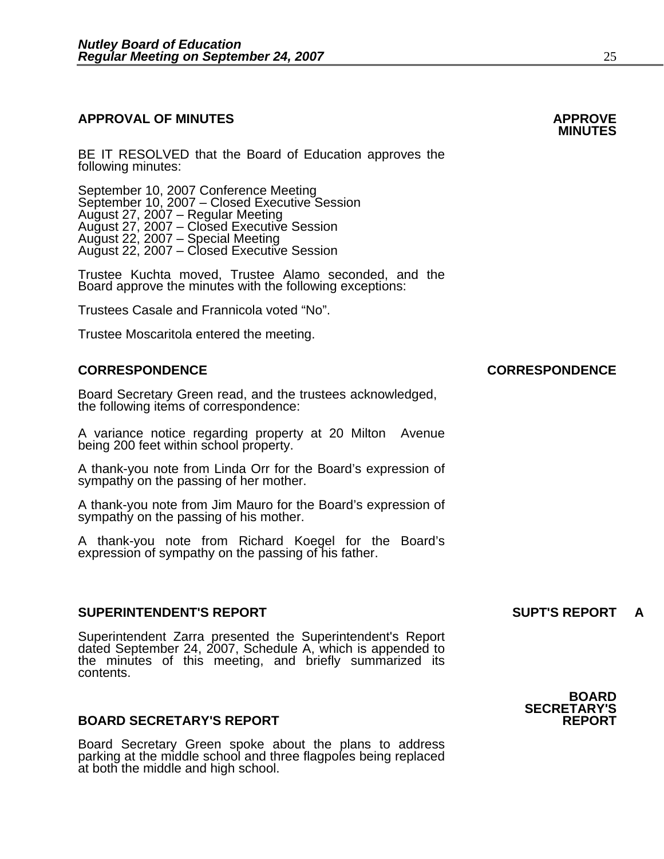# **APPROVAL OF MINUTES APPROVE**

BE IT RESOLVED that the Board of Education approves the following minutes:

September 10, 2007 Conference Meeting<br>September 10, 2007 – Closed Executive Session August 27, 2007 – Regular Meeting August 27, 2007 – Closed Executive Session August 22, 2007 – Special Meeting August 22, 2007 – Closed Executive Session

> Trustee Kuchta moved, Trustee Alamo seconded, and the Board approve the minutes with the following exceptions:

Trustees Casale and Frannicola voted "No".

Trustee Moscaritola entered the meeting.

Board Secretary Green read, and the trustees acknowledged, the following items of correspondence:

A variance notice regarding property at 20 Milton Avenue being 200 feet within school property.

A thank-you note from Linda Orr for the Board's expression of sympathy on the passing of her mother.

A thank-you note from Jim Mauro for the Board's expression of sympathy on the passing of his mother.

A thank-you note from Richard Koegel for the Board's expression of sympathy on the passing of his father.

## **SUPERINTENDENT'S REPORT SUPT'S REPORT A**

Superintendent Zarra presented the Superintendent's Report dated September 24, 2007, Schedule A, which is appended to the minutes of this meeting, and briefly summarized its contents.

## **BOARD SECRETARY'S REPORT**

Board Secretary Green spoke about the plans to address parking at the middle school and three flagpoles being replaced<br>at both the middle and high school.

## **BOARD SECRETARY'S**

## **CORRESPONDENCE CORRESPONDENCE**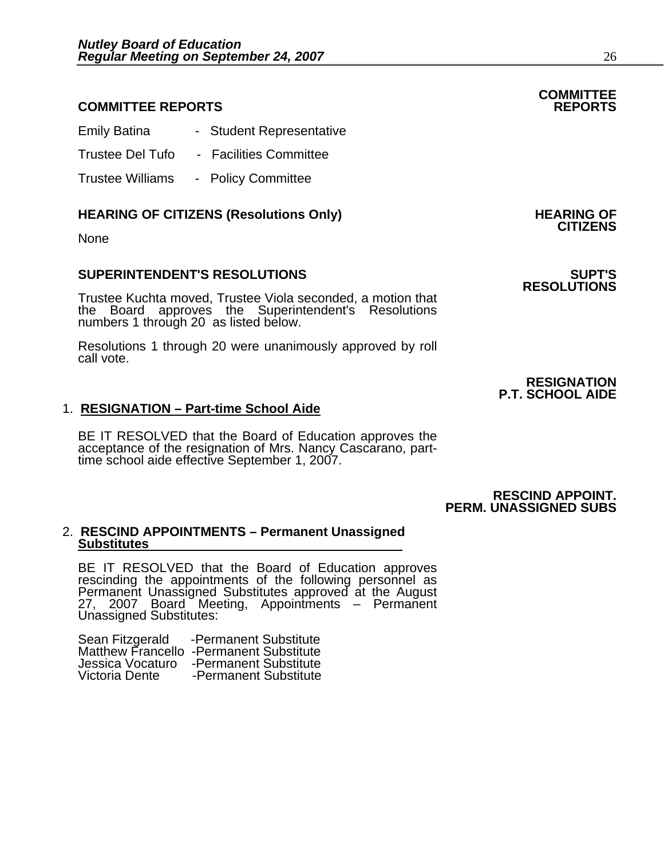## **COMMITTEE REPORTS REPORTS**

| <b>Emily Batina</b>     | - Student Representative |
|-------------------------|--------------------------|
| <b>Trustee Del Tufo</b> | - Facilities Committee   |

Trustee Williams - Policy Committee

# **HEARING OF CITIZENS (Resolutions Only) HEARING OF CITIZENS**

None

## **SUPERINTENDENT'S RESOLUTIONS SUPT'S**

Trustee Kuchta moved, Trustee Viola seconded, a motion that the Board approves the Superintendent's Resolutions numbers 1 through 20 as listed below.

Resolutions 1 through 20 were unanimously approved by roll call vote.

## 1. **RESIGNATION – Part-time School Aide**

BE IT RESOLVED that the Board of Education approves the acceptance of the resignation of Mrs. Nancy Cascarano, parttime school aide effective September 1, 2007.

## **RESCIND APPOINT. PERM. UNASSIGNED SUBS**

## 2. **RESCIND APPOINTMENTS – Permanent Unassigned Substitutes**

BE IT RESOLVED that the Board of Education approves rescinding the appointments of the following personnel as Permanent Unassigned Substitutes approved at the August 27, 2007 Board Meeting, Appointments - Permanent<br>Unassigned Substitutes:

| Sean Fitzgerald  | -Permanent Substitute                   |
|------------------|-----------------------------------------|
|                  | Matthew Francello -Permanent Substitute |
| Jessica Vocaturo | -Permanent Substitute                   |
| Victoria Dente   | -Permanent Substitute                   |

**COMMITTEE** 

# **RESOLUTIONS**

**RESIGNATION P.T. SCHOOL AIDE**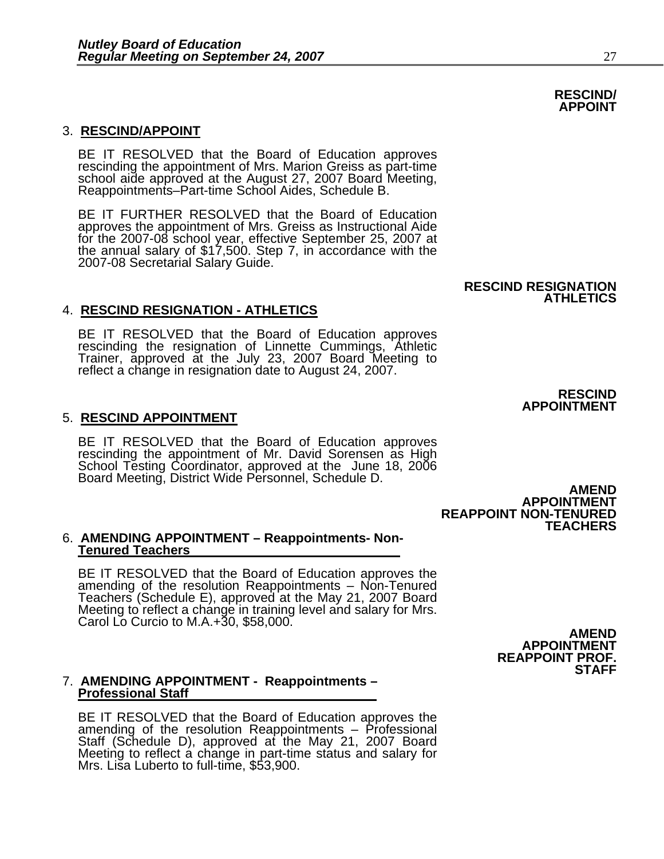## 3. **RESCIND/APPOINT**

BE IT RESOLVED that the Board of Education approves rescinding the appointment of Mrs. Marion Greiss as part-time school aide approved at the August 27, 2007 Board Meeting, Reappointments–Part-time School Aides, Schedule B.

BE IT FURTHER RESOLVED that the Board of Education approves the appointment of Mrs. Greiss as Instructional Aide for the 2007-08 school year, effective September 25, 2007 at the annual salary of \$17,500. Step 7, in accordance with the 2007-08 Secretarial Salary Guide.

## 4. **RESCIND RESIGNATION - ATHLETICS**

BE IT RESOLVED that the Board of Education approves rescinding the resignation of Linnette Cummings, Athletic Trainer, approved at the July 23, 2007 Board Meeting to reflect a change in resignation date to August 24, 2007.

## 5. **RESCIND APPOINTMENT**

BE IT RESOLVED that the Board of Education approves rescinding the appointment of Mr. David Sorensen as High School Testing Coordinator, approved at the June 18, 2006 Board Meeting, District Wide Personnel, Schedule D. **AMEND AMEND** 

### 6. **AMENDING APPOINTMENT – Reappointments- Non-Tenured Teachers**

BE IT RESOLVED that the Board of Education approves the amending of the resolution Reappointments – Non-Tenured Teachers (Schedule E), approved at the May 21, 2007 Board Meeting to reflect a change in training level and salary for Mrs.<br>Carol Lo Curcio to M.A.+30, \$58,000.

### 7. **AMENDING APPOINTMENT - Reappointments – Professional Staff**

BE IT RESOLVED that the Board of Education approves the<br>amending of the resolution Reappointments – Professional<br>Staff (Schedule D), approved at the May 21, 2007 Board<br>Meeting to reflect a change in part-time status and sa

**RESCIND APPOINTMENT**

**APPOINTMENT**

**TEACHERS**

**REAPPOINT NON-TENURED** 

**ATHLETICS**

**RESCIND RESIGNATION** 

**AMEND APPOINTMENT REAPPOINT PROF.** 

## **RESCIND/ APPOINT**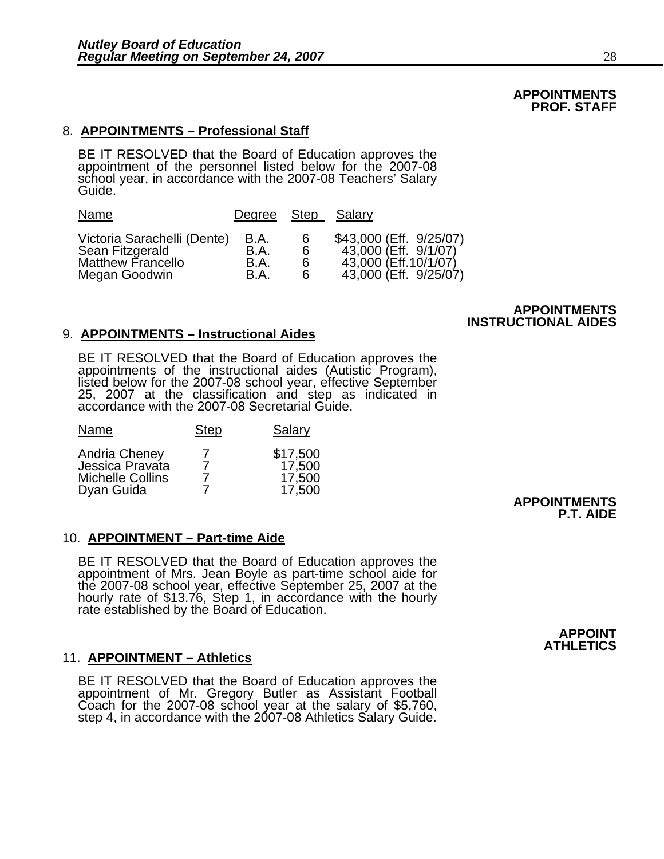## **APPOINTMENTS PROF. STAFF**

## 8. **APPOINTMENTS – Professional Staff**

BE IT RESOLVED that the Board of Education approves the appointment of the personnel listed below for the 2007-08 school year, in accordance with the 2007-08 Teachers' Salary Guide.

| Name                        | Degree Step Salary |   |                         |
|-----------------------------|--------------------|---|-------------------------|
| Victoria Sarachelli (Dente) | B.A.               | 6 | \$43,000 (Eff. 9/25/07) |
| Sean Fitzgerald             | B.A.               | 6 | 43,000 (Eff. 9/1/07)    |
| <b>Matthew Francello</b>    | B.A.               | 6 | 43,000 (Eff.10/1/07)    |
| Megan Goodwin               | B.A.               | 6 | 43,000 (Eff. 9/25/07)   |

## **APPOINTMENTS INSTRUCTIONAL AIDES**

## 9. **APPOINTMENTS – Instructional Aides**

BE IT RESOLVED that the Board of Education approves the appointments of the instructional aides (Autistic Program), listed below for the 2007-08 school year, effective September 25, 2007 at the classification and step as i

| Name                                                        | <b>Step</b> | Salary                       |
|-------------------------------------------------------------|-------------|------------------------------|
| Andria Cheney<br>Jessica Pravata<br><b>Michelle Collins</b> |             | \$17,500<br>17,500<br>17,500 |
| Dyan Guida                                                  |             | 17,500                       |

## 10. **APPOINTMENT – Part-time Aide**

BE IT RESOLVED that the Board of Education approves the appointment of Mrs. Jean Boyle as part-time school aide for the 2007-08 school year, effective September 25, 2007 at the hourly rate of \$13.76, Step 1, in accordance

## 11. **APPOINTMENT – Athletics**

BE IT RESOLVED that the Board of Education approves the<br>appointment of Mr. Gregory Butler as Assistant Football Coach for the 2007-08 school year at the salary of \$5,760,<br>step 4, in accordance with the 2007-08 Athletics Salary Guide.

Dyan Guida 7 17,500 **APPOINTMENTS P.T. AIDE** 

## **APPOINT ATHLETICS**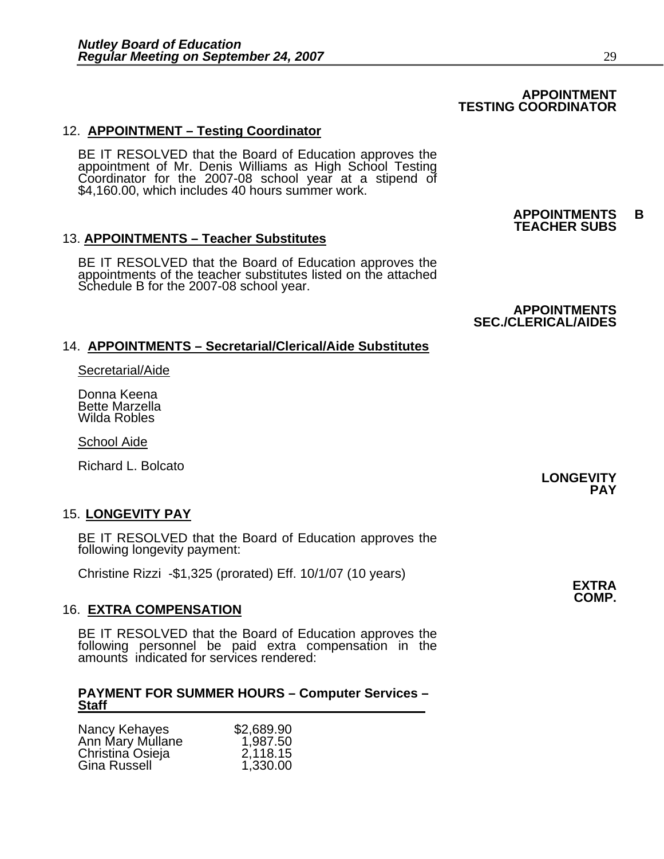## **APPOINTMENT TESTING COORDINATOR**

## 12. **APPOINTMENT – Testing Coordinator**

BE IT RESOLVED that the Board of Education approves the appointment of Mr. Denis Williams as High School Testing Coordinator for the 2007-08 school year at a stipend of \$4,160.00, which includes 40 hours summer work.

## 13. **APPOINTMENTS – Teacher Substitutes**

BE IT RESOLVED that the Board of Education approves the appointments of the teacher substitutes listed on the attached Schedule B for the 2007-08 school year.

## **APPOINTMENTS SEC./CLERICAL/AIDES**

**APPOINTMENTS B TEACHER SUBS** 

## 14. **APPOINTMENTS – Secretarial/Clerical/Aide Substitutes**

Secretarial/Aide

Donna Keena Bette Marzella Wilda Robles

School Aide

Richard L. Bolcato

## 15. **LONGEVITY PAY**

BE IT RESOLVED that the Board of Education approves the following longevity payment:

Christine Rizzi -\$1,325 (prorated) Eff. 10/1/07 (10 years) **EXTRA**

## 16. **EXTRA COMPENSATION**

BE IT RESOLVED that the Board of Education approves the following personnel be paid extra compensation in the amounts indicated for services rendered:

## **PAYMENT FOR SUMMER HOURS – Computer Services – Staff**

| Nancy Kehayes    | \$2,689.90 |
|------------------|------------|
| Ann Mary Mullane | 1,987.50   |
| Christina Osieja | 2,118.15   |
| Gina Russell     | 1,330.00   |

## **LONGEVITY PAY**

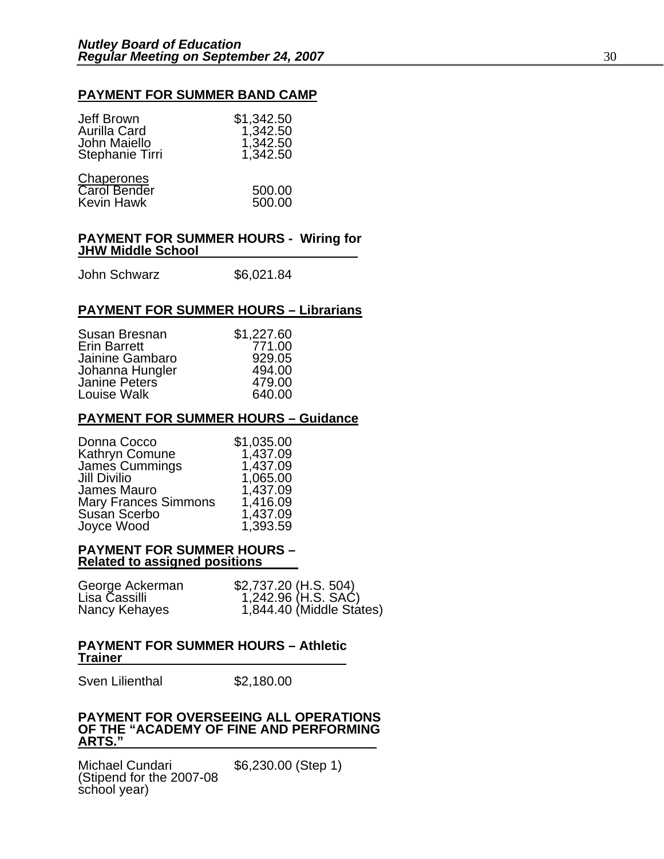## **PAYMENT FOR SUMMER BAND CAMP**

| Jeff Brown<br>Aurilla Card<br>John Maiello<br>Stephanie Tirri | \$1,342.50<br>1,342.50<br>1,342.50<br>1,342.50 |
|---------------------------------------------------------------|------------------------------------------------|
| Chaperones<br><b>Carol Bender</b><br><b>Kevin Hawk</b>        | 500.00<br>500.00                               |

## **PAYMENT FOR SUMMER HOURS - Wiring for JHW Middle School**

John Schwarz \$6,021.84

## **PAYMENT FOR SUMMER HOURS – Librarians**

| Susan Bresnan       | \$1,227.60 |
|---------------------|------------|
| <b>Erin Barrett</b> | 771.00     |
| Jainine Gambaro     | 929.05     |
| Johanna Hungler     | 494.00     |
| Janine Peters       | 479.00     |
| Louise Walk         | 640.00     |

## **PAYMENT FOR SUMMER HOURS – Guidance**

| \$1,035.00 |
|------------|
| 1,437.09   |
| 1,437.09   |
| 1,065.00   |
| 1,437.09   |
| 1,416.09   |
| 1,437.09   |
| 1,393.59   |
|            |

## **PAYMENT FOR SUMMER HOURS – Related to assigned positions**

| George Ackerman | \$2,737.20 (H.S. 504)                           |
|-----------------|-------------------------------------------------|
| Lisa Cassilli   | 1,242.96 (H.S. SAĆ)<br>1,844.40 (Middle States) |
| Nancy Kehayes   |                                                 |

## **PAYMENT FOR SUMMER HOURS – Athletic Trainer**

Sven Lilienthal \$2,180.00

## **PAYMENT FOR OVERSEEING ALL OPERATIONS OF THE "ACADEMY OF FINE AND PERFORMING ARTS."**

Michael Cundari \$6,230.00 (Step 1) (Stipend for the 2007-08 school year)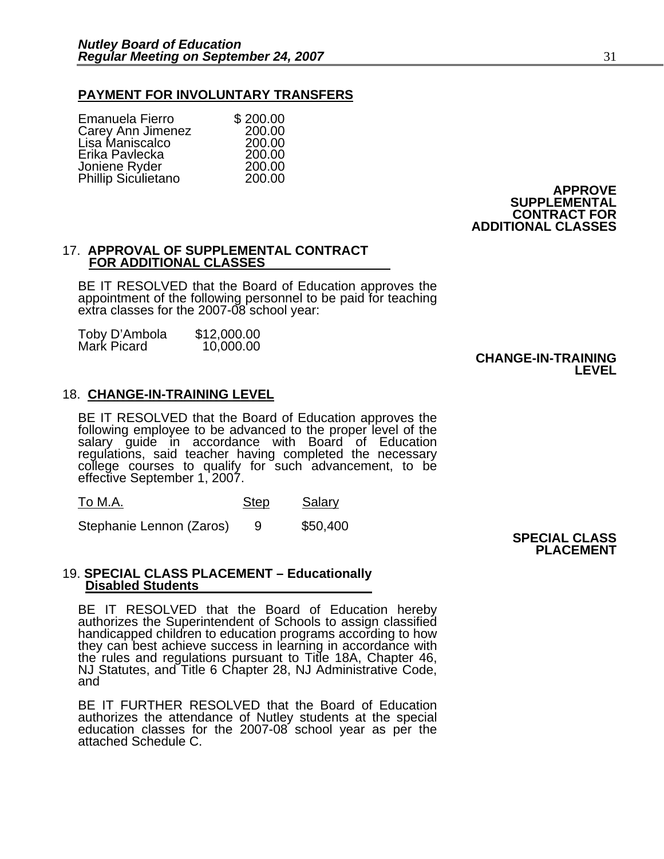## **PAYMENT FOR INVOLUNTARY TRANSFERS**

| Emanuela Fierro     | \$200.00 |
|---------------------|----------|
| Carey Ann Jimenez   | 200.00   |
| Lisa Maniscalco     | 200.00   |
| Erika Pavlecka      | 200.00   |
| Joniene Ryder       | 200.00   |
| Phillip Siculietano | 200.00   |

**APPROVE SUPPLEMENTAL CONTRACT FOR ADDITIONAL CLASSES** 

## 17. **APPROVAL OF SUPPLEMENTAL CONTRACT FOR ADDITIONAL CLASSES**

BE IT RESOLVED that the Board of Education approves the appointment of the following personnel to be paid for teaching extra classes for the 2007-08 school year:

| Toby D'Ambola | \$12,000.00 |
|---------------|-------------|
| Mark Picard   | 10,000.00   |

## **CHANGE-IN-TRAINING LEVEL**

## 18. **CHANGE-IN-TRAINING LEVEL**

BE IT RESOLVED that the Board of Education approves the following employee to be advanced to the proper level of the salary quide in accordance with Board of Education regulations, said teacher having completed the necessary college courses to qualify for such advancement, to be effective September 1, 2007.

| To M.A. | <b>Step</b> | Salary |
|---------|-------------|--------|
|---------|-------------|--------|

Stephanie Lennon (Zaros) 9 \$50,400

**SPECIAL CLASS PLACEMENT** 

## 19. **SPECIAL CLASS PLACEMENT – Educationally Disabled Students**

BE IT RESOLVED that the Board of Education hereby authorizes the Superintendent of Schools to assign classified handicapped children to education programs according to how they can best achieve success in learning in accordance with the rules and regulations pursuant to Title 18A, Chapter 46, NJ Statutes, and Title 6 Chapter 28, NJ Administrative Code, and

BE IT FURTHER RESOLVED that the Board of Education authorizes the attendance of Nutley students at the special education classes for the 2007-08 school year as per the attached Schedule C.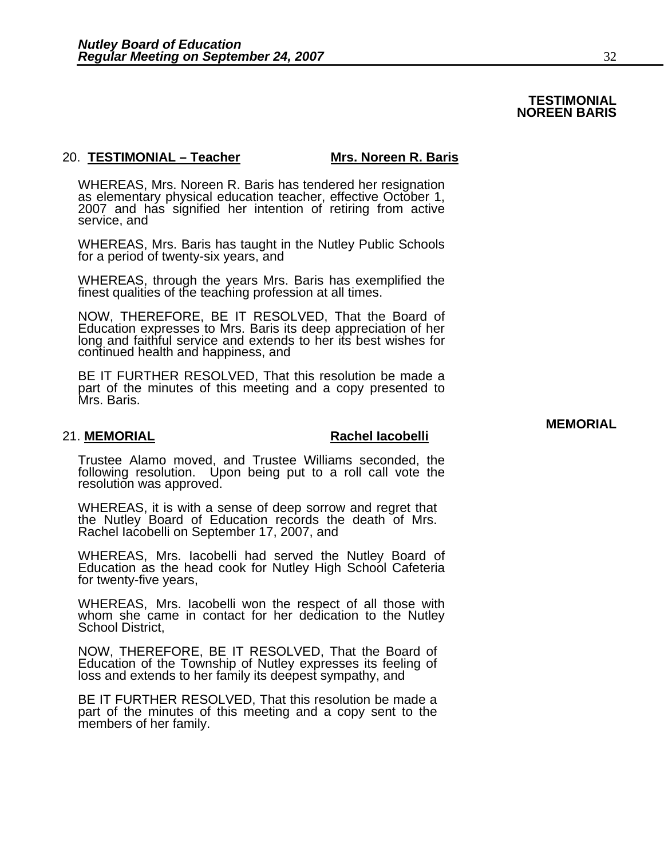## **TESTIMONIAL NOREEN BARIS**

## 20. **TESTIMONIAL – Teacher Mrs. Noreen R. Baris**

WHEREAS, Mrs. Noreen R. Baris has tendered her resignation as elementary physical education teacher, effective October 1, 2007 and has signified her intention of retiring from active service, and

WHEREAS, Mrs. Baris has taught in the Nutley Public Schools for a period of twenty-six years, and

WHEREAS, through the years Mrs. Baris has exemplified the finest qualities of the teaching profession at all times.

NOW, THEREFORE, BE IT RESOLVED, That the Board of Education expresses to Mrs. Baris its deep appreciation of her long and faithful service and extends to her its best wishes for continued health and happiness, and

BE IT FURTHER RESOLVED, That this resolution be made a part of the minutes of this meeting and a copy presented to Mrs. Baris.

### 21. **MEMORIAL Rachel Iacobelli**

Trustee Alamo moved, and Trustee Williams seconded, the following resolution. Upon being put to a roll call vote the resolution was approved.

WHEREAS, it is with a sense of deep sorrow and regret that<br>the Nutley Board of Education records the death of Mrs. Rachel Iacobelli on September 17, 2007, and

WHEREAS, Mrs. Iacobelli had served the Nutley Board of Education as the head cook for Nutley High School Cafeteria for twenty-five years,

WHEREAS, Mrs. Iacobelli won the respect of all those with whom she came in contact for her dedication to the Nutley School District,

NOW, THEREFORE, BE IT RESOLVED, That the Board of Education of the Township of Nutley expresses its feeling of loss and extends to her family its deepest sympathy, and

BE IT FURTHER RESOLVED, That this resolution be made a part of the minutes of this meeting and a copy sent to the members of her family. **MEMORIAL**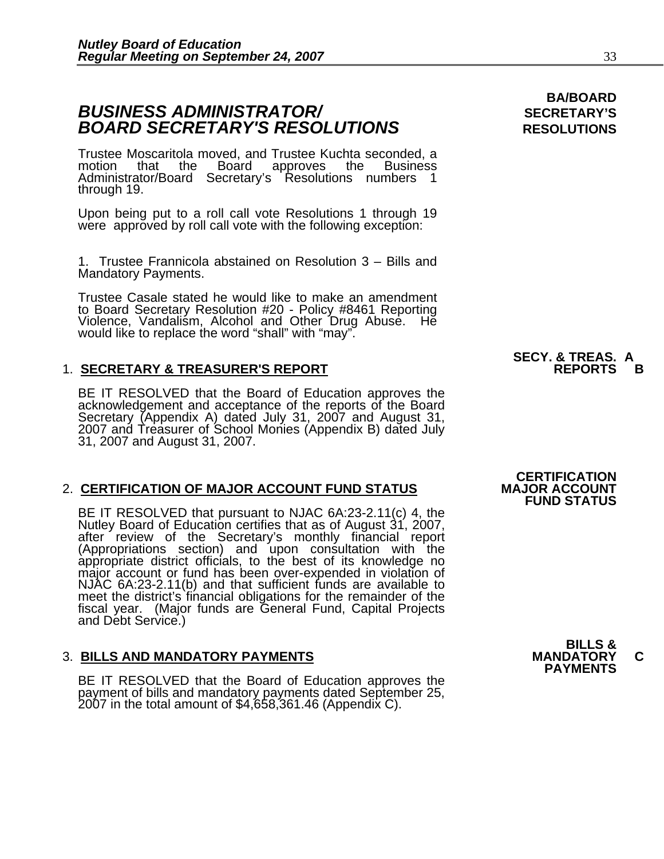## **BUSINESS ADMINISTRATOR/** *BUSINESS ADMINISTRATOR/* **BOARD SECRETARY'S RESOLUTIONS** RESOLUTIONS

Trustee Moscaritola moved, and Trustee Kuchta seconded, a motion that the Board approves the Business Administrator/Board Secretary's Resolutions numbers 1<br>through 19.

Upon being put to a roll call vote Resolutions 1 through 19 were approved by roll call vote with the following exception:

1. Trustee Frannicola abstained on Resolution 3 – Bills and Mandatory Payments.

Trustee Casale stated he would like to make an amendment to Board Secretary Resolution #20 - Policy #8461 Reporting Violence, Vandalism, Alcohol and Other Drug Abuse. He would like to replace the word "shall" with "may".

## 1. **SECRETARY & TREASURER'S REPORT**

BE IT RESOLVED that the Board of Education approves the acknowledgement and acceptance of the reports of the Board Secretary (Appendix A) dated July 31, 2007 and August 31, 2007 and Treasurer of School Monies (Appendix B)

## 2. **CERTIFICATION OF MAJOR ACCOUNT FUND STATUS**

BE IT RESOLVED that pursuant to NJAC 6A:23-2.11(c) 4, the<br>Nutley Board of Education certifies that as of August 31, 2007,<br>after review of the Secretary's monthly financial report<br>(Appropriations section) and upon consultat meet the district's financial obligations for the remainder of the fiscal year. (Major funds are General Fund, Capital Projects and Debt Service.)

3. BILLS AND MANDATORY PAYMENTS<br>BE IT RESOLVED that the Board of Education approves the **PAYMENTS** payment of bills and mandatory payments dated September 25, 2007 in the total amount of \$4,658,361.46 (Appendix C).

# **SECY. & TREAS. A**

## **CERTIFICATION<br>MAJOR ACCOUNT FUND STATUS**

**BILLS &** 

**BA/BOARD**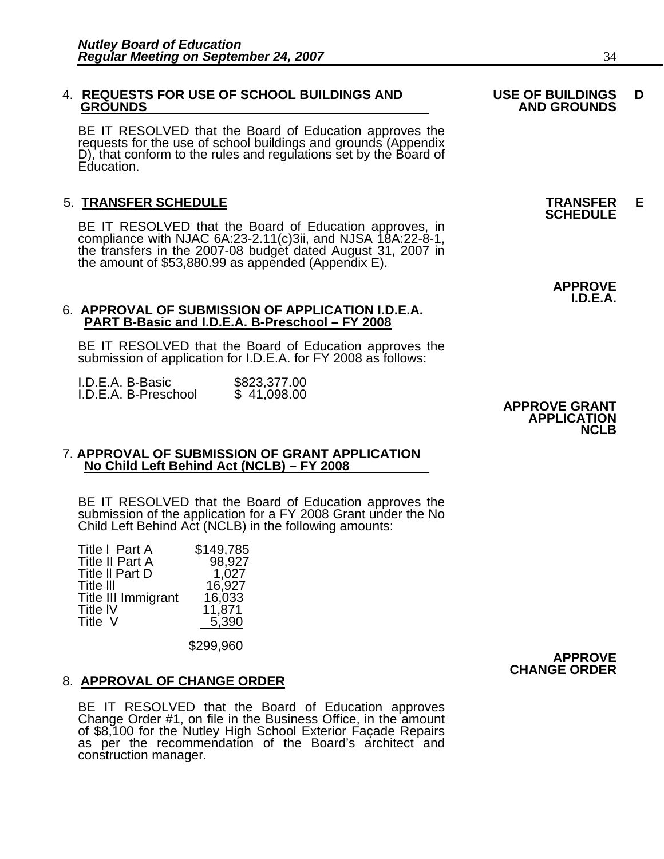# 4. **REQUESTS FOR USE OF SCHOOL BUILDINGS AND USE OF BUILDINGS D**

BE IT RESOLVED that the Board of Education approves the requests for the use of school buildings and grounds (Appendix D), that conform to the rules and regulations set by the Board of Education.

5. **TRANSFER SCHEDULE**<br>BE IT RESOLVED that the Board of Education approves, in **SCHEDULE** compliance with NJAC 6A:23-2.11(c)3ii, and NJSA 18A:22-8-1,<br>the transfers in the 2007-08 budget dated August 31, 2007 in<br>the amount of \$53,880.99 as appended (Appendix E).

## 6. **APPROVAL OF SUBMISSION OF APPLICATION I.D.E.A. PART B-Basic and I.D.E.A. B-Preschool – FY 2008**

BE IT RESOLVED that the Board of Education approves the submission of application for I.D.E.A. for FY 2008 as follows:

| I.D.E.A. B-Basic     | \$823,377.00 |
|----------------------|--------------|
| I.D.E.A. B-Preschool | \$41,098.00  |

## 7. **APPROVAL OF SUBMISSION OF GRANT APPLICATION No Child Left Behind Act (NCLB) – FY 2008**

BE IT RESOLVED that the Board of Education approves the submission of the application for a FY 2008 Grant under the No Child Left Behind Act (NCLB) in the following amounts:

| Title I Part A<br>Title II Part A<br>Title II Part D<br>Title III<br>Title III Immigrant<br>Title IV<br>Title V | \$149,785<br>16,033<br>11,871<br>5,390 | 98,927<br>1,027<br>16,927 |
|-----------------------------------------------------------------------------------------------------------------|----------------------------------------|---------------------------|
|                                                                                                                 |                                        |                           |

\$299,960

## 8. **APPROVAL OF CHANGE ORDER**

BE IT RESOLVED that the Board of Education approves<br>Change Order #1, on file in the Business Office, in the amount<br>of \$8,100 for the Nutley High School Exterior Façade Repairs<br>as per the recommendation of the Board's archi construction manager.

 **APPROVE CHANGE ORDER**

## **APPROVE GRANT APPLICATION NCLB**

# **GROUNDS AND GROUNDS**

**APPROVE I.D.E.A.**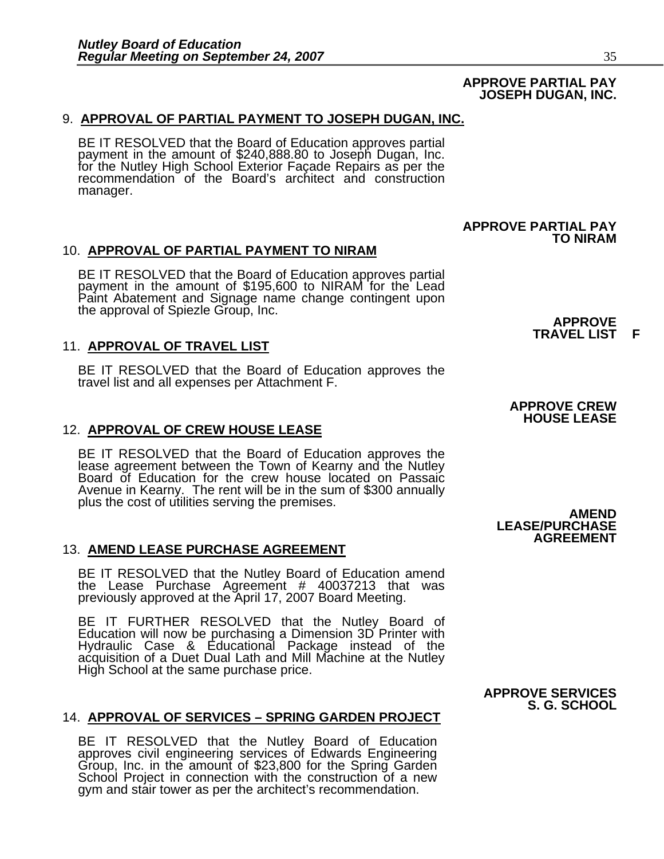## **APPROVE PARTIAL PAY JOSEPH DUGAN, INC.**

 **APPROVE PARTIAL PAY** 

## 9. **APPROVAL OF PARTIAL PAYMENT TO JOSEPH DUGAN, INC.**

BE IT RESOLVED that the Board of Education approves partial payment in the amount of \$240,888.80 to Joseph Dugan, Inc. for the Nutley High School Exterior Façade Repairs as per the recommendation of the Board's architect and construction manager.

## 10. **APPROVAL OF PARTIAL PAYMENT TO NIRAM**

BE IT RESOLVED that the Board of Education approves partial payment in the amount of \$195,600 to NIRAM for the Lead Paint Abatement and Signage name change contingent upon<br>the approval of Spiezle Group, Inc.

11. **APPROVAL OF TRAVEL LIST**<br>BE IT RESOLVED that the Board of Education approves the travel list and all expenses per Attachment F.

## 12. **APPROVAL OF CREW HOUSE LEASE**

BE IT RESOLVED that the Board of Education approves the lease agreement between the Town of Kearny and the Nutley Board of Education for the crew house located on Passaic Avenue in Kearny. The rent will be in the sum of \$300 annually plus the cost of utilities serving the premises.<br> **AMEND** 

## 13. **AMEND LEASE PURCHASE AGREEMENT**

BE IT RESOLVED that the Nutley Board of Education amend the Lease Purchase Agreement # 40037213 that was previously approved at the April 17, 2007 Board Meeting.

BE IT FURTHER RESOLVED that the Nutley Board of Education will now be purchasing a Dimension 3D Printer with Hydraulic Case & Educational Package instead of the acquisition of a Duet Dual Lath and Mill Machine at the Nutle

## 14. **APPROVAL OF SERVICES – SPRING GARDEN PROJECT**

BE IT RESOLVED that the Nutley Board of Education<br>approves civil engineering services of Edwards Engineering<br>Group, Inc. in the amount of \$23,800 for the Spring Garden<br>School Project in connection with the construction of gym and stair tower as per the architect's recommendation.

 **APPROVE TRAVEL LIST F**

**TO NIRAM** 

## **APPROVE CREW HOUSE LEASE**

 **LEASE/PURCHASE AGREEMENT**

## **APPROVE SERVICES S. G. SCHOOL**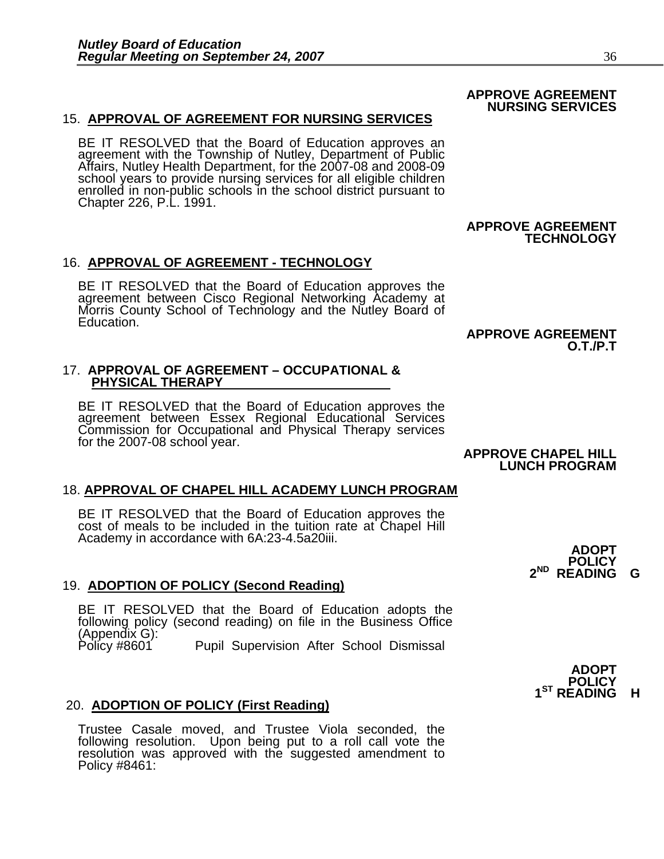15. **APPROVAL OF AGREEMENT FOR NURSING SERVICES**<br>BE IT RESOLVED that the Board of Education approves an<br>agreement with the Township of Nutley, Department of Public<br>Affairs, Nutley Health Department, for the 2007-08 and 200 enrolled in non-public schools in the school district pursuant to Chapter 226, P.L. 1991.

 **APPROVE AGREEMENT TECHNOLOGY**

16. **APPROVAL OF AGREEMENT - TECHNOLOGY**<br>BE IT RESOLVED that the Board of Education approves the<br>agreement between Cisco Regional Networking Academy at<br>Morris County School of Technology and the Nutley Board of<br>Education.

## **APPROVE AGREEMENT O.T./P.T**

# 17. **APPROVAL OF AGREEMENT – OCCUPATIONAL & PHYSICAL THERAPY**

BE IT RESOLVED that the Board of Education approves the agreement between Essex Regional Educational Services Commission for Occupational and Physical Therapy services for the 2007-08 school year.<br>**APPROVE CHAPEL HILL** 

# **LUNCH PROGRAM**

## 18. **APPROVAL OF CHAPEL HILL ACADEMY LUNCH PROGRAM**

BE IT RESOLVED that the Board of Education approves the<br>cost of meals to be included in the tuition rate at Chapel Hill<br>Academy in accordance with 6A:23-4.5a20iii.

## 19. **ADOPTION OF POLICY (Second Reading)**

BE IT RESOLVED that the Board of Education adopts the following policy (second reading) on file in the Business Office (Appendix G): Pupil Supervision After School Dismissal<br>**ADOPT** 

## 20. **ADOPTION OF POLICY (First Reading)**

Trustee Casale moved, and Trustee Viola seconded, the resolution was approved with the suggested amendment to Policy #8461: **POLICY** 

 **2ND READING G**

## **APPROVE AGREEMENT NURSING SERVICES**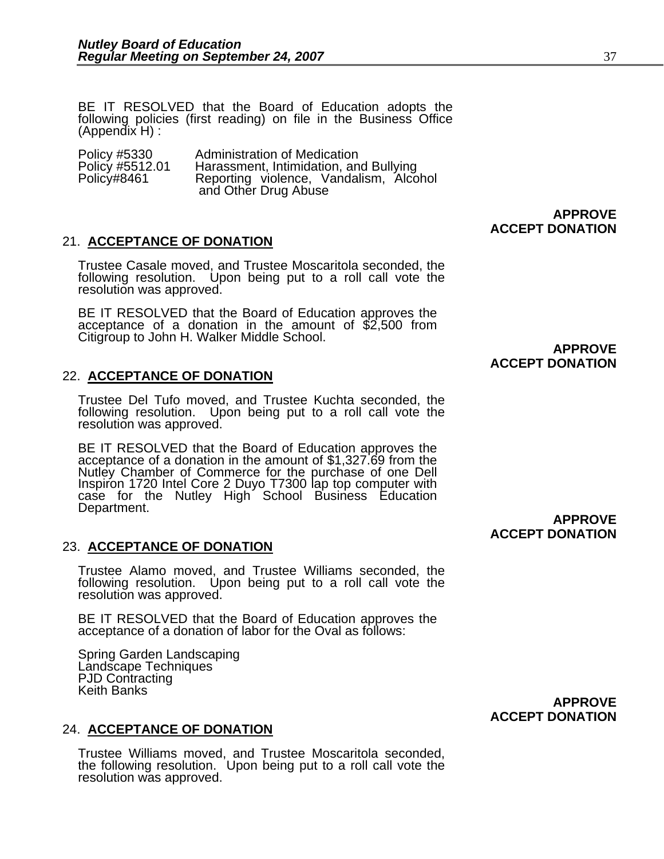BE IT RESOLVED that the Board of Education adopts the following policies (first reading) on file in the Business Office (Appendix H) :

| Policy #5330    | Administration of Medication           |
|-----------------|----------------------------------------|
| Policy #5512.01 | Harassment, Intimidation, and Bullying |
| Policy#8461     | Reporting violence, Vandalism, Alcohol |
|                 | and Other Drug Abuse                   |

## 21. **ACCEPTANCE OF DONATION**

Trustee Casale moved, and Trustee Moscaritola seconded, the following resolution. Upon being put to a roll call vote the resolution was approved.

BE IT RESOLVED that the Board of Education approves the acceptance of a donation in the amount of \$2,500 from Citigroup to John H. Walker Middle School. **APPROVE APPROVE** 

## 22. **ACCEPTANCE OF DONATION**

Trustee Del Tufo moved, and Trustee Kuchta seconded, the following resolution. Upon being put to a roll call vote the resolution was approved.

BE IT RESOLVED that the Board of Education approves the acceptance of a donation in the amount of \$1,327.69 from the Nutley Chamber of Commerce for the purchase of one Dell Inspiron 1720 Intel Core 2 Duyo T7300 lap top computer with case for the Nutley High School Business Education Department.

## 23. **ACCEPTANCE OF DONATION**

Trustee Alamo moved, and Trustee Williams seconded, the following resolution. Upon being put to a roll call vote the resolution was approved.

BE IT RESOLVED that the Board of Education approves the acceptance of a donation of labor for the Oval as follows:

Spring Garden Landscaping Landscape Techniques PJD Contracting Keith Banks

## 24. **ACCEPTANCE OF DONATION**

Trustee Williams moved, and Trustee Moscaritola seconded, the following resolution. Upon being put to a roll call vote the resolution was approved.

**APPROVE ACCEPT DONATION** 

# **ACCEPT DONATION**

**APPROVE** 

 **ACCEPT DONATION** 

## **APPROVE ACCEPT DONATION**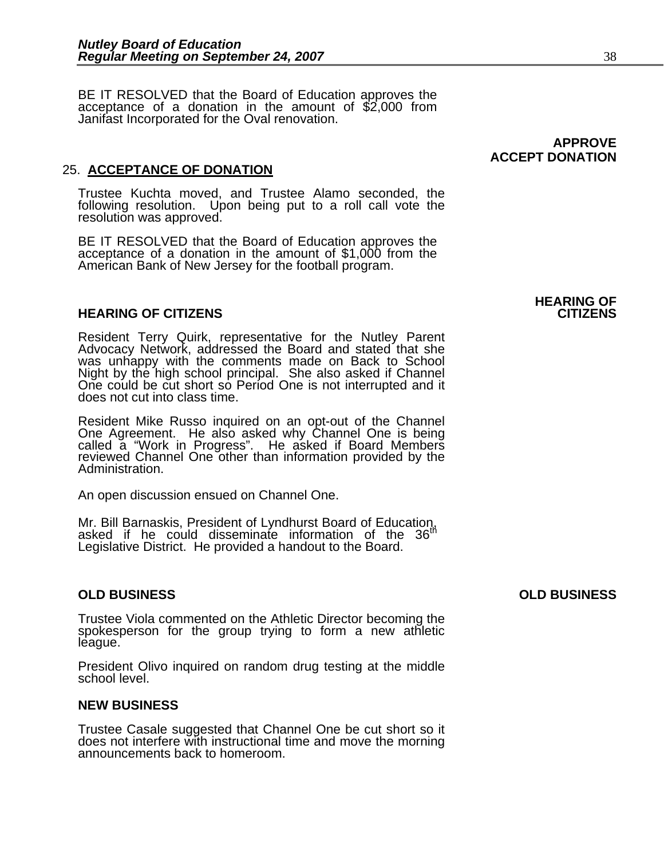BE IT RESOLVED that the Board of Education approves the acceptance of a donation in the amount of \$2,000 from Janifast Incorporated for the Oval renovation.

## 25. **ACCEPTANCE OF DONATION**

Trustee Kuchta moved, and Trustee Alamo seconded, the following resolution. Upon being put to a roll call vote the<br>resolution was approved.

BE IT RESOLVED that the Board of Education approves the acceptance of a donation in the amount of \$1,000 from the American Bank of New Jersey for the football program.

## **HEARING OF CITIZENS CITIZENS**

Resident Terry Quirk, representative for the Nutley Parent Advocacy Network, addressed the Board and stated that she was unhappy with the comments made on Back to School Night by the high school principal. She also asked if Channel One could be cut short so Period One is not interrupted and it does not cut into class time.

Resident Mike Russo inquired on an opt-out of the Channel One Agreement. He also asked why Channel One is being called a "Work in Progress". He asked if Board Members reviewed Channel One other than information provided by the<br>Administration.

An open discussion ensued on Channel One.

Mr. Bill Barnaskis, President of Lyndhurst Board of Education, asked if he could disseminate information of the 36<sup>th</sup> Legislative District. He provided a handout to the Board.

Trustee Viola commented on the Athletic Director becoming the spokesperson for the group trying to form a new athletic league.

President Olivo inquired on random drug testing at the middle school level.

## **NEW BUSINESS**

Trustee Casale suggested that Channel One be cut short so it does not interfere with instructional time and move the morning announcements back to homeroom.

# **HEARING OF**

**APPROVE** 

 **ACCEPT DONATION** 

## **OLD BUSINESS OLD BUSINESS**